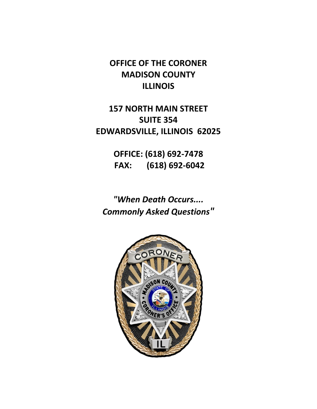**OFFICE OF THE CORONER MADISON COUNTY ILLINOIS**

**157 NORTH MAIN STREET SUITE 354 EDWARDSVILLE, ILLINOIS 62025**

> **OFFICE: (618) 692-7478 FAX: (618) 692-6042**

*"When Death Occurs.... Commonly Asked Questions"*

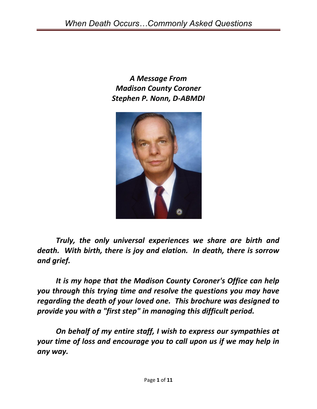*A Message From Madison County Coroner Stephen P. Nonn, D-ABMDI*



*Truly, the only universal experiences we share are birth and death. With birth, there is joy and elation. In death, there is sorrow and grief.*

*It is my hope that the Madison County Coroner's Office can help you through this trying time and resolve the questions you may have regarding the death of your loved one. This brochure was designed to provide you with a "first step" in managing this difficult period.*

*On behalf of my entire staff, I wish to express our sympathies at your time of loss and encourage you to call upon us if we may help in any way.*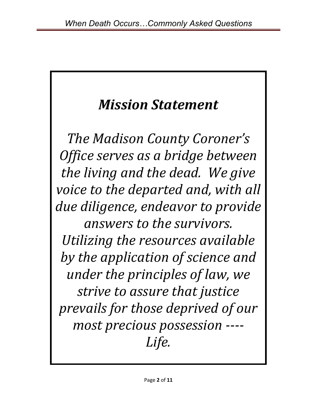# *Mission Statement*

*The Madison County Coroner's Office serves as a bridge between the living and the dead. We give voice to the departed and, with all due diligence, endeavor to provide answers to the survivors. Utilizing the resources available by the application of science and under the principles of law, we strive to assure that justice prevails for those deprived of our most precious possession ---- Life.*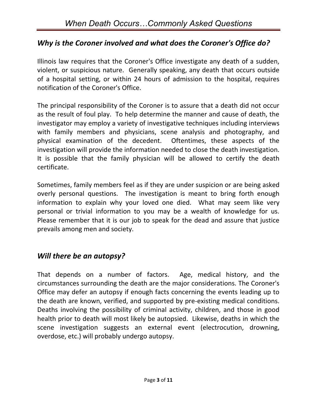## *Why is the Coroner involved and what does the Coroner's Office do?*

Illinois law requires that the Coroner's Office investigate any death of a sudden, violent, or suspicious nature. Generally speaking, any death that occurs outside of a hospital setting, or within 24 hours of admission to the hospital, requires notification of the Coroner's Office.

The principal responsibility of the Coroner is to assure that a death did not occur as the result of foul play. To help determine the manner and cause of death, the investigator may employ a variety of investigative techniques including interviews with family members and physicians, scene analysis and photography, and physical examination of the decedent. Oftentimes, these aspects of the investigation will provide the information needed to close the death investigation. It is possible that the family physician will be allowed to certify the death certificate.

Sometimes, family members feel as if they are under suspicion or are being asked overly personal questions. The investigation is meant to bring forth enough information to explain why your loved one died. What may seem like very personal or trivial information to you may be a wealth of knowledge for us. Please remember that it is our job to speak for the dead and assure that justice prevails among men and society.

#### *Will there be an autopsy?*

That depends on a number of factors. Age, medical history, and the circumstances surrounding the death are the major considerations. The Coroner's Office may defer an autopsy if enough facts concerning the events leading up to the death are known, verified, and supported by pre-existing medical conditions. Deaths involving the possibility of criminal activity, children, and those in good health prior to death will most likely be autopsied. Likewise, deaths in which the scene investigation suggests an external event (electrocution, drowning, overdose, etc.) will probably undergo autopsy.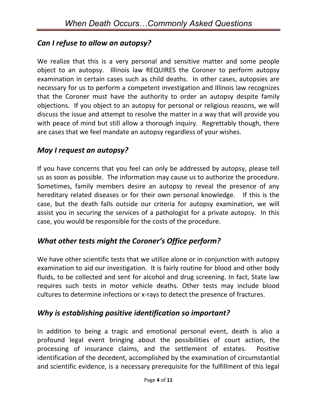## *Can I refuse to allow an autopsy?*

We realize that this is a very personal and sensitive matter and some people object to an autopsy. Illinois law REQUIRES the Coroner to perform autopsy examination in certain cases such as child deaths. In other cases, autopsies are necessary for us to perform a competent investigation and Illinois law recognizes that the Coroner must have the authority to order an autopsy despite family objections. If you object to an autopsy for personal or religious reasons, we will discuss the issue and attempt to resolve the matter in a way that will provide you with peace of mind but still allow a thorough inquiry. Regrettably though, there are cases that we feel mandate an autopsy regardless of your wishes.

#### *May I request an autopsy?*

If you have concerns that you feel can only be addressed by autopsy, please tell us as soon as possible. The information may cause us to authorize the procedure. Sometimes, family members desire an autopsy to reveal the presence of any hereditary related diseases or for their own personal knowledge. If this is the case, but the death falls outside our criteria for autopsy examination, we will assist you in securing the services of a pathologist for a private autopsy. In this case, you would be responsible for the costs of the procedure.

## *What other tests might the Coroner's Office perform?*

We have other scientific tests that we utilize alone or in conjunction with autopsy examination to aid our investigation. It is fairly routine for blood and other body fluids, to be collected and sent for alcohol and drug screening. In fact, State law requires such tests in motor vehicle deaths. Other tests may include blood cultures to determine infections or x-rays to detect the presence of fractures.

#### *Why is establishing positive identification so important?*

In addition to being a tragic and emotional personal event, death is also a profound legal event bringing about the possibilities of court action, the processing of insurance claims, and the settlement of estates. Positive identification of the decedent, accomplished by the examination of circumstantial and scientific evidence, is a necessary prerequisite for the fulfillment of this legal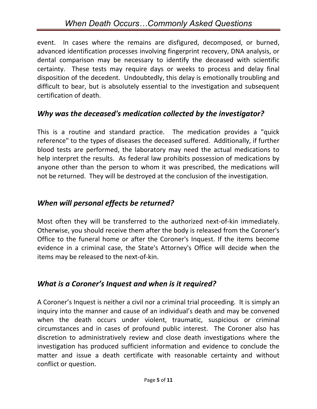# *When Death Occurs…Commonly Asked Questions*

event. In cases where the remains are disfigured, decomposed, or burned, advanced identification processes involving fingerprint recovery, DNA analysis, or dental comparison may be necessary to identify the deceased with scientific certainty. These tests may require days or weeks to process and delay final disposition of the decedent. Undoubtedly, this delay is emotionally troubling and difficult to bear, but is absolutely essential to the investigation and subsequent certification of death.

#### *Why was the deceased's medication collected by the investigator?*

This is a routine and standard practice. The medication provides a "quick reference" to the types of diseases the deceased suffered. Additionally, if further blood tests are performed, the laboratory may need the actual medications to help interpret the results. As federal law prohibits possession of medications by anyone other than the person to whom it was prescribed, the medications will not be returned. They will be destroyed at the conclusion of the investigation.

#### *When will personal effects be returned?*

Most often they will be transferred to the authorized next-of-kin immediately. Otherwise, you should receive them after the body is released from the Coroner's Office to the funeral home or after the Coroner's Inquest. If the items become evidence in a criminal case, the State's Attorney's Office will decide when the items may be released to the next-of-kin.

#### *What is a Coroner's Inquest and when is it required?*

A Coroner's Inquest is neither a civil nor a criminal trial proceeding. It is simply an inquiry into the manner and cause of an individual's death and may be convened when the death occurs under violent, traumatic, suspicious or criminal circumstances and in cases of profound public interest. The Coroner also has discretion to administratively review and close death investigations where the investigation has produced sufficient information and evidence to conclude the matter and issue a death certificate with reasonable certainty and without conflict or question.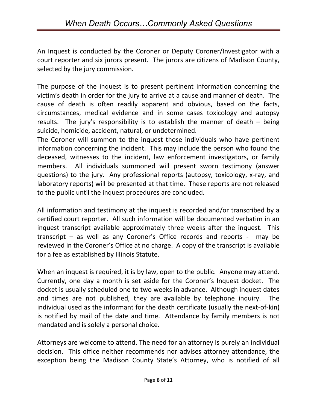An Inquest is conducted by the Coroner or Deputy Coroner/Investigator with a court reporter and six jurors present. The jurors are citizens of Madison County, selected by the jury commission.

The purpose of the inquest is to present pertinent information concerning the victim's death in order for the jury to arrive at a cause and manner of death. The cause of death is often readily apparent and obvious, based on the facts, circumstances, medical evidence and in some cases toxicology and autopsy results. The jury's responsibility is to establish the manner of death – being suicide, homicide, accident, natural, or undetermined.

The Coroner will summon to the inquest those individuals who have pertinent information concerning the incident. This may include the person who found the deceased, witnesses to the incident, law enforcement investigators, or family members. All individuals summoned will present sworn testimony (answer questions) to the jury. Any professional reports (autopsy, toxicology, x-ray, and laboratory reports) will be presented at that time. These reports are not released to the public until the inquest procedures are concluded.

All information and testimony at the inquest is recorded and/or transcribed by a certified court reporter. All such information will be documented verbatim in an inquest transcript available approximately three weeks after the inquest. This transcript – as well as any Coroner's Office records and reports - may be reviewed in the Coroner's Office at no charge. A copy of the transcript is available for a fee as established by Illinois Statute.

When an inquest is required, it is by law, open to the public. Anyone may attend. Currently, one day a month is set aside for the Coroner's Inquest docket. The docket is usually scheduled one to two weeks in advance. Although inquest dates and times are not published, they are available by telephone inquiry. The individual used as the informant for the death certificate (usually the next-of-kin) is notified by mail of the date and time. Attendance by family members is not mandated and is solely a personal choice.

Attorneys are welcome to attend. The need for an attorney is purely an individual decision. This office neither recommends nor advises attorney attendance, the exception being the Madison County State's Attorney, who is notified of all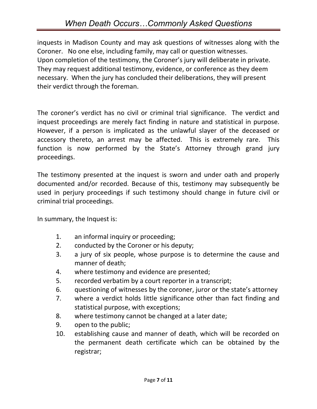# *When Death Occurs…Commonly Asked Questions*

inquests in Madison County and may ask questions of witnesses along with the Coroner. No one else, including family, may call or question witnesses. Upon completion of the testimony, the Coroner's jury will deliberate in private. They may request additional testimony, evidence, or conference as they deem necessary. When the jury has concluded their deliberations, they will present their verdict through the foreman.

The coroner's verdict has no civil or criminal trial significance. The verdict and inquest proceedings are merely fact finding in nature and statistical in purpose. However, if a person is implicated as the unlawful slayer of the deceased or accessory thereto, an arrest may be affected. This is extremely rare. This function is now performed by the State's Attorney through grand jury proceedings.

The testimony presented at the inquest is sworn and under oath and properly documented and/or recorded. Because of this, testimony may subsequently be used in perjury proceedings if such testimony should change in future civil or criminal trial proceedings.

In summary, the Inquest is:

- 1. an informal inquiry or proceeding;
- 2. conducted by the Coroner or his deputy;
- 3. a jury of six people, whose purpose is to determine the cause and manner of death;
- 4. where testimony and evidence are presented;
- 5. recorded verbatim by a court reporter in a transcript;
- 6. questioning of witnesses by the coroner, juror or the state's attorney
- 7. where a verdict holds little significance other than fact finding and statistical purpose, with exceptions;
- 8. where testimony cannot be changed at a later date;
- 9. open to the public;
- 10. establishing cause and manner of death, which will be recorded on the permanent death certificate which can be obtained by the registrar;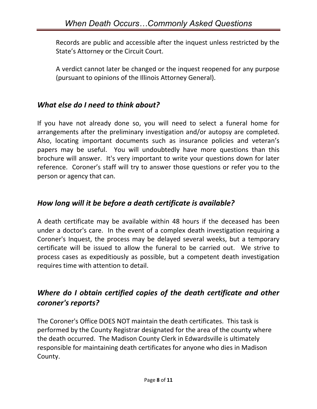Records are public and accessible after the inquest unless restricted by the State's Attorney or the Circuit Court.

A verdict cannot later be changed or the inquest reopened for any purpose (pursuant to opinions of the Illinois Attorney General).

#### *What else do I need to think about?*

If you have not already done so, you will need to select a funeral home for arrangements after the preliminary investigation and/or autopsy are completed. Also, locating important documents such as insurance policies and veteran's papers may be useful. You will undoubtedly have more questions than this brochure will answer. It's very important to write your questions down for later reference. Coroner's staff will try to answer those questions or refer you to the person or agency that can.

#### *How long will it be before a death certificate is available?*

A death certificate may be available within 48 hours if the deceased has been under a doctor's care. In the event of a complex death investigation requiring a Coroner's Inquest, the process may be delayed several weeks, but a temporary certificate will be issued to allow the funeral to be carried out. We strive to process cases as expeditiously as possible, but a competent death investigation requires time with attention to detail.

## *Where do I obtain certified copies of the death certificate and other coroner's reports?*

The Coroner's Office DOES NOT maintain the death certificates. This task is performed by the County Registrar designated for the area of the county where the death occurred. The Madison County Clerk in Edwardsville is ultimately responsible for maintaining death certificates for anyone who dies in Madison County.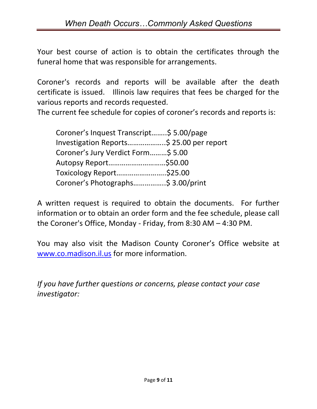Your best course of action is to obtain the certificates through the funeral home that was responsible for arrangements.

Coroner's records and reports will be available after the death certificate is issued. Illinois law requires that fees be charged for the various reports and records requested.

The current fee schedule for copies of coroner's records and reports is:

| Coroner's Inquest Transcript\$ 5.00/page  |  |
|-------------------------------------------|--|
| Investigation Reports \$ 25.00 per report |  |
| Coroner's Jury Verdict Form\$ 5.00        |  |
|                                           |  |
| Toxicology Report\$25.00                  |  |
| Coroner's Photographs\$ 3.00/print        |  |

A written request is required to obtain the documents. For further information or to obtain an order form and the fee schedule, please call the Coroner's Office, Monday - Friday, from 8:30 AM – 4:30 PM.

You may also visit the Madison County Coroner's Office website at [www.co.madison.il.us](http://www.co.madison.il.us/) for more information.

*If you have further questions or concerns, please contact your case investigator:*